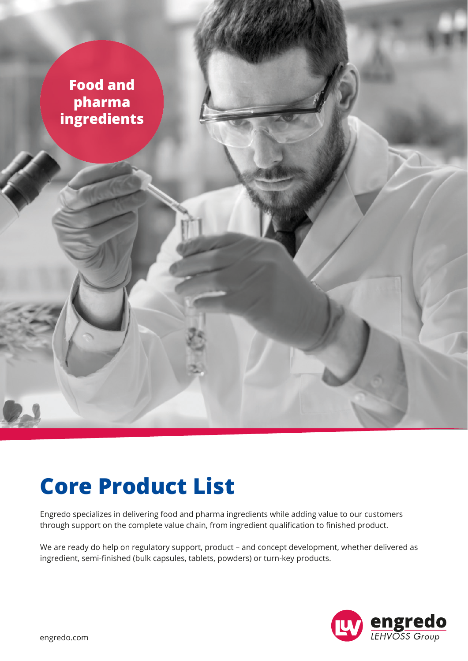

## **Core Product List**

Engredo specializes in delivering food and pharma ingredients while adding value to our customers through support on the complete value chain, from ingredient qualification to finished product.

We are ready do help on regulatory support, product – and concept development, whether delivered as ingredient, semi-finished (bulk capsules, tablets, powders) or turn-key products.

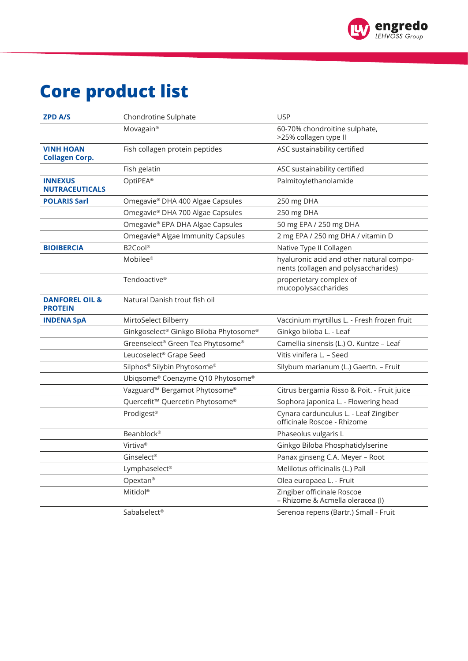

## **Core product list**

| <b>ZPD A/S</b>                              | Chondrotine Sulphate                                  | <b>USP</b>                                                                       |
|---------------------------------------------|-------------------------------------------------------|----------------------------------------------------------------------------------|
|                                             | Movagain <sup>®</sup>                                 | 60-70% chondroitine sulphate,<br>>25% collagen type II                           |
| <b>VINH HOAN</b><br><b>Collagen Corp.</b>   | Fish collagen protein peptides                        | ASC sustainability certified                                                     |
|                                             | Fish gelatin                                          | ASC sustainability certified                                                     |
| <b>INNEXUS</b><br><b>NUTRACEUTICALS</b>     | OptiPEA®                                              | Palmitoylethanolamide                                                            |
| <b>POLARIS Sarl</b>                         | Omegavie® DHA 400 Algae Capsules                      | 250 mg DHA                                                                       |
|                                             | Omegavie® DHA 700 Algae Capsules                      | 250 mg DHA                                                                       |
|                                             | Omegavie® EPA DHA Algae Capsules                      | 50 mg EPA / 250 mg DHA                                                           |
|                                             | Omegavie® Algae Immunity Capsules                     | 2 mg EPA / 250 mg DHA / vitamin D                                                |
| <b>BIOIBERCIA</b>                           | B2Cool®                                               | Native Type II Collagen                                                          |
|                                             | Mobilee®                                              | hyaluronic acid and other natural compo-<br>nents (collagen and polysaccharides) |
|                                             | Tendoactive <sup>®</sup>                              | properietary complex of<br>mucopolysaccharides                                   |
| <b>DANFOREL OIL &amp;</b><br><b>PROTEIN</b> | Natural Danish trout fish oil                         |                                                                                  |
| <b>INDENA SpA</b>                           | MirtoSelect Bilberry                                  | Vaccinium myrtillus L. - Fresh frozen fruit                                      |
|                                             | Ginkgoselect <sup>®</sup> Ginkgo Biloba Phytosome®    | Ginkgo biloba L. - Leaf                                                          |
|                                             | Greenselect® Green Tea Phytosome®                     | Camellia sinensis (L.) O. Kuntze - Leaf                                          |
|                                             | Leucoselect® Grape Seed                               | Vitis vinifera L. - Seed                                                         |
|                                             | Silphos® Silybin Phytosome®                           | Silybum marianum (L.) Gaertn. - Fruit                                            |
|                                             | Ubiqsome® Coenzyme Q10 Phytosome®                     |                                                                                  |
|                                             | Vazguard <sup>™</sup> Bergamot Phytosome <sup>®</sup> | Citrus bergamia Risso & Poit. - Fruit juice                                      |
|                                             | Quercefit™ Quercetin Phytosome®                       | Sophora japonica L. - Flowering head                                             |
|                                             | Prodigest®                                            | Cynara cardunculus L. - Leaf Zingiber<br>officinale Roscoe - Rhizome             |
|                                             | <b>Beanblock®</b>                                     | Phaseolus vulgaris L                                                             |
|                                             | Virtiva <sup>®</sup>                                  | Ginkgo Biloba Phosphatidylserine                                                 |
|                                             | Ginselect <sup>®</sup>                                | Panax ginseng C.A. Meyer - Root                                                  |
|                                             | Lymphaselect®                                         | Melilotus officinalis (L.) Pall                                                  |
|                                             | Opextan®                                              | Olea europaea L. - Fruit                                                         |
|                                             | Mitidol <sup>®</sup>                                  | Zingiber officinale Roscoe<br>- Rhizome & Acmella oleracea (I)                   |
|                                             |                                                       | Serenoa repens (Bartr.) Small - Fruit                                            |